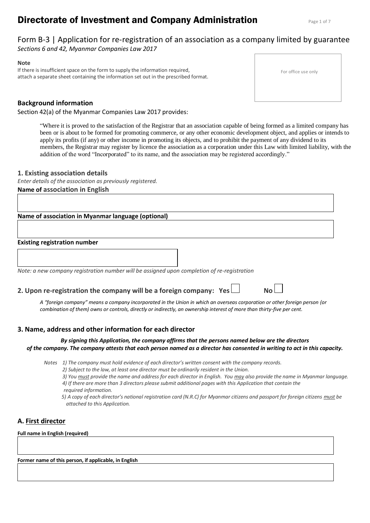# **Directorate of Investment and Company Administration** Page 1 of 7

# Form B-3 | Application for re-registration of an association as a company limited by guarantee *Sections 6 and 42, Myanmar Companies Law 2017*

## **Note**

If there is insufficient space on the form to supply the information required, attach a separate sheet containing the information set out in the prescribed format.

# **Background information**

Section 42(a) of the Myanmar Companies Law 2017 provides:

For office use only

"Where it is proved to the satisfaction of the Registrar that an association capable of being formed as a limited company has been or is about to be formed for promoting commerce, or any other economic development object, and applies or intends to apply its profits (if any) or other income in promoting its objects, and to prohibit the payment of any dividend to its members, the Registrar may register by licence the association as a corporation under this Law with limited liability, with the addition of the word "Incorporated" to its name, and the association may be registered accordingly."

## **1. Existing association details**

*Enter details of the association as previously registered.* **Name of association in English** 

**Name of association in Myanmar language (optional)** 

## **Existing registration number**

*Note: a new company registration number will be assigned upon completion of re-registration*

# **2. Upon re-registration the company will be a foreign company: Yes**

*A "foreign company" means a company incorporated in the Union in which an overseas corporation or other foreign person (or combination of them) owns or controls, directly or indirectly, an ownership interest of more than thirty-five per cent.*

# **3. Name, address and other information for each director**

## *By signing this Application, the company affirms that the persons named below are the directors of the company. The company attests that each person named as a director has consented in writing to act in this capacity.*

*Notes 1) The company must hold evidence of each director's written consent with the company records.*

*2) Subject to the law, at least one director must be ordinarily resident in the Union.*

*3) You must provide the name and address for each director in English. You may also provide the name in Myanmar language. 4) If there are more than 3 directors please submit additional pages with this Application that contain the required information.*

*5) A copy of each director's national registration card (N.R.C) for Myanmar citizens and passport for foreign citizens must be attached to this Application.* 

# **A. First director**

#### **Full name in English (required)**

**Former name of this person, if applicable, in English**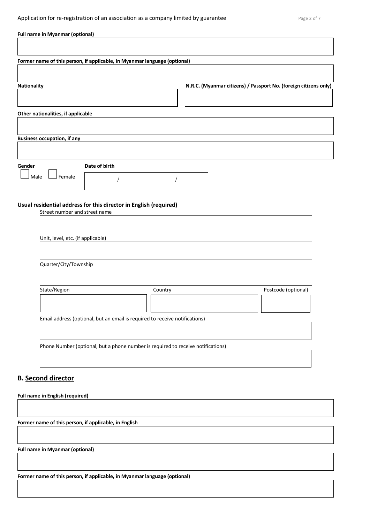| <b>Full name in Myanmar (optional)</b>                                                 |
|----------------------------------------------------------------------------------------|
|                                                                                        |
| Former name of this person, if applicable, in Myanmar language (optional)              |
|                                                                                        |
| N.R.C. (Myanmar citizens) / Passport No. (foreign citizens only)<br><b>Nationality</b> |
|                                                                                        |
|                                                                                        |
| Other nationalities, if applicable                                                     |
|                                                                                        |
| <b>Business occupation, if any</b>                                                     |
|                                                                                        |
| Date of birth<br>Gender                                                                |
| Male<br>Female                                                                         |
|                                                                                        |
| Usual residential address for this director in English (required)                      |
| Street number and street name                                                          |
|                                                                                        |
| Unit, level, etc. (if applicable)                                                      |
|                                                                                        |
|                                                                                        |
| Quarter/City/Township                                                                  |
|                                                                                        |
| State/Region<br>Postcode (optional)<br>Country                                         |
|                                                                                        |
| Email address (optional, but an email is required to receive notifications)            |
|                                                                                        |
| Phone Number (optional, but a phone number is required to receive notifications)       |
|                                                                                        |
|                                                                                        |
| <b>B.</b> Second director                                                              |
|                                                                                        |
| <b>Full name in English (required)</b>                                                 |
|                                                                                        |
| Former name of this person, if applicable, in English                                  |
|                                                                                        |
| <b>Full name in Myanmar (optional)</b>                                                 |
|                                                                                        |
| Former name of this person, if applicable, in Myanmar language (optional)              |
|                                                                                        |
|                                                                                        |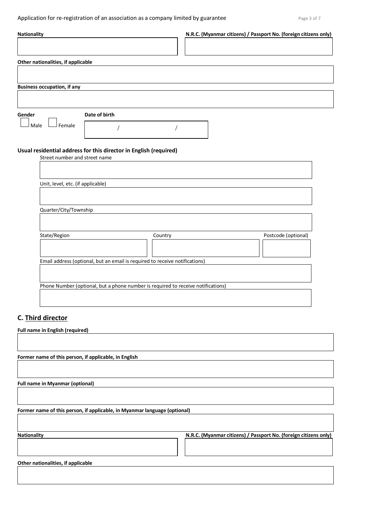Application for re-registration of an association as a company limited by guarantee Page 3 of 7

| N.R.C. (Myanmar citizens) / Passport No. (foreign citizens only)<br><b>Nationality</b>             |  |
|----------------------------------------------------------------------------------------------------|--|
|                                                                                                    |  |
| Other nationalities, if applicable                                                                 |  |
|                                                                                                    |  |
| <b>Business occupation, if any</b>                                                                 |  |
|                                                                                                    |  |
| Date of birth<br>Gender                                                                            |  |
| Female<br>Male                                                                                     |  |
|                                                                                                    |  |
| Usual residential address for this director in English (required)<br>Street number and street name |  |
|                                                                                                    |  |
| Unit, level, etc. (if applicable)                                                                  |  |
|                                                                                                    |  |
| Quarter/City/Township                                                                              |  |
|                                                                                                    |  |
| State/Region<br>Postcode (optional)<br>Country                                                     |  |
|                                                                                                    |  |
| Email address (optional, but an email is required to receive notifications)                        |  |
|                                                                                                    |  |
| Phone Number (optional, but a phone number is required to receive notifications)                   |  |
|                                                                                                    |  |
| C. Third director                                                                                  |  |
| Full name in English (required)                                                                    |  |
|                                                                                                    |  |
| Former name of this person, if applicable, in English                                              |  |
|                                                                                                    |  |
| <b>Full name in Myanmar (optional)</b>                                                             |  |
|                                                                                                    |  |
| Former name of this person, if applicable, in Myanmar language (optional)                          |  |
|                                                                                                    |  |
| N.R.C. (Myanmar citizens) / Passport No. (foreign citizens only)<br><b>Nationality</b>             |  |
|                                                                                                    |  |
|                                                                                                    |  |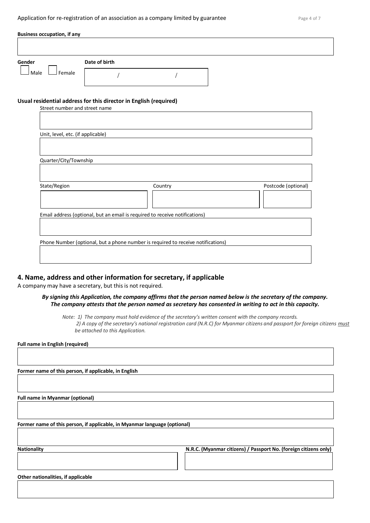| <b>Business occupation, if any</b> |               |  |
|------------------------------------|---------------|--|
| Gender                             | Date of birth |  |
| Male<br>Female                     |               |  |

#### **Usual residential address for this director in English (required)**

| Street number and street name                                                    |         |                     |  |  |
|----------------------------------------------------------------------------------|---------|---------------------|--|--|
|                                                                                  |         |                     |  |  |
|                                                                                  |         |                     |  |  |
|                                                                                  |         |                     |  |  |
| Unit, level, etc. (if applicable)                                                |         |                     |  |  |
|                                                                                  |         |                     |  |  |
|                                                                                  |         |                     |  |  |
| Quarter/City/Township                                                            |         |                     |  |  |
|                                                                                  |         |                     |  |  |
|                                                                                  |         |                     |  |  |
|                                                                                  |         |                     |  |  |
| State/Region                                                                     | Country | Postcode (optional) |  |  |
|                                                                                  |         |                     |  |  |
|                                                                                  |         |                     |  |  |
|                                                                                  |         |                     |  |  |
| Email address (optional, but an email is required to receive notifications)      |         |                     |  |  |
|                                                                                  |         |                     |  |  |
|                                                                                  |         |                     |  |  |
|                                                                                  |         |                     |  |  |
| Phone Number (optional, but a phone number is required to receive notifications) |         |                     |  |  |
|                                                                                  |         |                     |  |  |
|                                                                                  |         |                     |  |  |
|                                                                                  |         |                     |  |  |

# **4. Name, address and other information for secretary, if applicable**

A company may have a secretary, but this is not required.

## *By signing this Application, the company affirms that the person named below is the secretary of the company. The company attests that the person named as secretary has consented in writing to act in this capacity.*

*Note: 1) The company must hold evidence of the secretary's written consent with the company records. 2) A copy of the secretary's national registration card (N.R.C) for Myanmar citizens and passport for foreign citizens must be attached to this Application.* 

**Full name in English (required)**

**Former name of this person, if applicable, in English**

**Full name in Myanmar (optional)**

**Former name of this person, if applicable, in Myanmar language (optional)**

**Nationality N.R.C. (Myanmar citizens) / Passport No. (foreign citizens only)**

**Other nationalities, if applicable**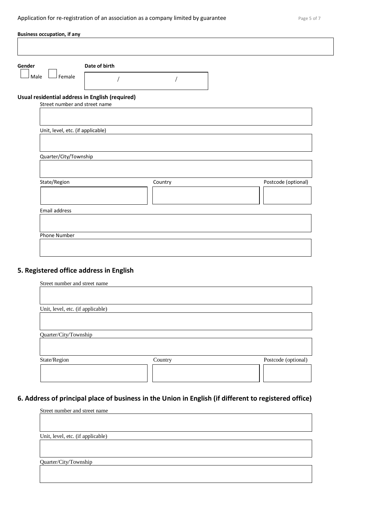| <b>Business occupation, if any</b> |                                                 |         |                     |
|------------------------------------|-------------------------------------------------|---------|---------------------|
|                                    |                                                 |         |                     |
| Gender                             | Date of birth                                   |         |                     |
| Female<br>Male                     |                                                 |         |                     |
| Street number and street name      | Usual residential address in English (required) |         |                     |
|                                    |                                                 |         |                     |
| Unit, level, etc. (if applicable)  |                                                 |         |                     |
| Quarter/City/Township              |                                                 |         |                     |
| State/Region                       |                                                 | Country | Postcode (optional) |
| Email address                      |                                                 |         |                     |
|                                    |                                                 |         |                     |
| Phone Number                       |                                                 |         |                     |
|                                    |                                                 |         |                     |

# **5. Registered office address in English**

| Street number and street name     |         |                     |
|-----------------------------------|---------|---------------------|
|                                   |         |                     |
|                                   |         |                     |
| Unit, level, etc. (if applicable) |         |                     |
|                                   |         |                     |
|                                   |         |                     |
| Quarter/City/Township             |         |                     |
|                                   |         |                     |
|                                   |         |                     |
| State/Region                      | Country | Postcode (optional) |
|                                   |         |                     |
|                                   |         |                     |
|                                   |         |                     |

# **6. Address of principal place of business in the Union in English (if different to registered office)**

| Street number and street name     |  |  |
|-----------------------------------|--|--|
|                                   |  |  |
|                                   |  |  |
| Unit, level, etc. (if applicable) |  |  |
|                                   |  |  |
|                                   |  |  |
| Quarter/City/Township             |  |  |
|                                   |  |  |
|                                   |  |  |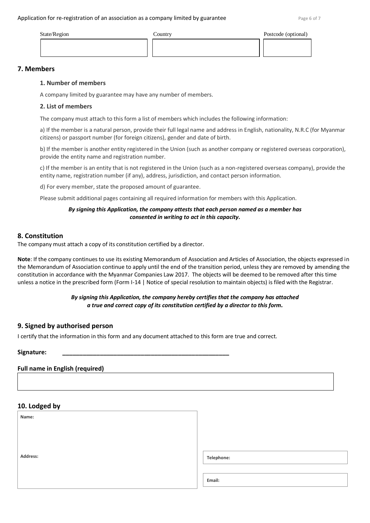#### Application for re-registration of an association as a company limited by guarantee  $Page 6 of 7$

| State/Region | Country | Postcode (optional) |
|--------------|---------|---------------------|
|              |         |                     |
|              |         |                     |

# **7. Members**

## **1. Number of members**

A company limited by guarantee may have any number of members.

## **2. List of members**

The company must attach to this form a list of members which includes the following information:

a) If the member is a natural person, provide their full legal name and address in English, nationality, N.R.C (for Myanmar citizens) or passport number (for foreign citizens), gender and date of birth.

b) If the member is another entity registered in the Union (such as another company or registered overseas corporation), provide the entity name and registration number.

c) If the member is an entity that is not registered in the Union (such as a non-registered overseas company), provide the entity name, registration number (if any), address, jurisdiction, and contact person information.

d) For every member, state the proposed amount of guarantee.

Please submit additional pages containing all required information for members with this Application.

## *By signing this Application, the company attests that each person named as a member has consented in writing to act in this capacity.*

# **8. Constitution**

The company must attach a copy of its constitution certified by a director.

**Note**: If the company continues to use its existing Memorandum of Association and Articles of Association, the objects expressed in the Memorandum of Association continue to apply until the end of the transition period, unless they are removed by amending the constitution in accordance with the Myanmar Companies Law 2017. The objects will be deemed to be removed after this time unless a notice in the prescribed form (Form I-14 | Notice of special resolution to maintain objects) is filed with the Registrar.

# *By signing this Application, the company hereby certifies that the company has attached a true and correct copy of its constitution certified by a director to this form.*

# **9. Signed by authorised person**

I certify that the information in this form and any document attached to this form are true and correct.

# **Full name in English (required)**

# **10. Lodged by Name: Address: Email: Telephone:**